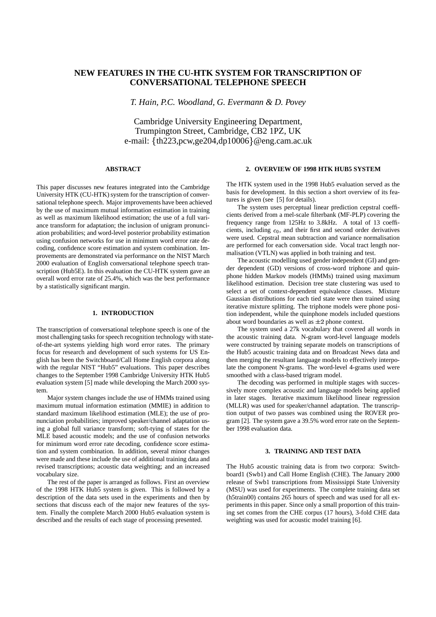# **NEW FEATURES IN THE CU-HTK SYSTEM FOR TRANSCRIPTION OF CONVERSATIONAL TELEPHONE SPEECH**

*T. Hain, P.C. Woodland, G. Evermann & D. Povey*

Cambridge University Engineering Department, Trumpington Street, Cambridge, CB2 1PZ, UK e-mail: th223,pcw,ge204,dp10006 @eng.cam.ac.uk

# **ABSTRACT**

This paper discusses new features integrated into the Cambridge University HTK (CU-HTK) system for the transcription of conversational telephone speech. Major improvements have been achieved by the use of maximum mutual information estimation in training as well as maximum likelihood estimation; the use of a full variance transform for adaptation; the inclusion of unigram pronunciation probabilities; and word-level posterior probability estimation using confusion networks for use in minimum word error rate decoding, confidence score estimation and system combination. Improvements are demonstrated via performance on the NIST March 2000 evaluation of English conversational telephone speech transcription (Hub5E). In this evaluation the CU-HTK system gave an overall word error rate of 25.4%, which was the best performance by a statistically significant margin.

# **1. INTRODUCTION**

The transcription of conversational telephone speech is one of the most challenging tasks for speech recognition technology with stateof-the-art systems yielding high word error rates. The primary focus for research and development of such systems for US English has been the Switchboard/Call Home English corpora along with the regular NIST "Hub5" evaluations. This paper describes changes to the September 1998 Cambridge University HTK Hub5 evaluation system [5] made while developing the March 2000 system.

Major system changes include the use of HMMs trained using maximum mutual information estimation (MMIE) in addition to standard maximum likelihood estimation (MLE); the use of pronunciation probabilities; improved speaker/channel adaptation using a global full variance transform; soft-tying of states for the MLE based acoustic models; and the use of confusion networks for minimum word error rate decoding, confidence score estimation and system combination. In addition, several minor changes were made and these include the use of additional training data and revised transcriptions; acoustic data weighting; and an increased vocabulary size.

The rest of the paper is arranged as follows. First an overview of the 1998 HTK Hub5 system is given. This is followed by a description of the data sets used in the experiments and then by sections that discuss each of the major new features of the system. Finally the complete March 2000 Hub5 evaluation system is described and the results of each stage of processing presented.

## **2. OVERVIEW OF 1998 HTK HUB5 SYSTEM**

The HTK system used in the 1998 Hub5 evaluation served as the basis for development. In this section a short overview of its features is given (see [5] for details).

The system uses perceptual linear prediction cepstral coefficients derived from a mel-scale filterbank (MF-PLP) covering the frequency range from 125Hz to 3.8kHz. A total of 13 coefficients, including  $c_0$ , and their first and second order derivatives were used. Cepstral mean subtraction and variance normalisation are performed for each conversation side. Vocal tract length normalisation (VTLN) was applied in both training and test.

The acoustic modelling used gender independent (GI) and gender dependent (GD) versions of cross-word triphone and quinphone hidden Markov models (HMMs) trained using maximum likelihood estimation. Decision tree state clustering was used to select a set of context-dependent equivalence classes. Mixture Gaussian distributions for each tied state were then trained using iterative mixture splitting. The triphone models were phone position independent, while the quinphone models included questions about word boundaries as well as  $\pm 2$  phone context.

The system used a 27k vocabulary that covered all words in the acoustic training data. N-gram word-level language models were constructed by training separate models on transcriptions of the Hub5 acoustic training data and on Broadcast News data and then merging the resultant language models to effectively interpolate the component N-grams. The word-level 4-grams used were smoothed with a class-based trigram model.

The decoding was performed in multiple stages with successively more complex acoustic and language models being applied in later stages. Iterative maximum likelihood linear regression (MLLR) was used for speaker/channel adaptation. The transcription output of two passes was combined using the ROVER program [2]. The system gave a 39.5% word error rate on the September 1998 evaluation data.

### **3. TRAINING AND TEST DATA**

The Hub5 acoustic training data is from two corpora: Switchboard1 (Swb1) and Call Home English (CHE). The January 2000 release of Swb1 transcriptions from Mississippi State University (MSU) was used for experiments. The complete training data set (h5train00) contains 265 hours of speech and was used for all experiments in this paper. Since only a small proportion of this training set comes from the CHE corpus (17 hours), 3-fold CHE data weighting was used for acoustic model training [6].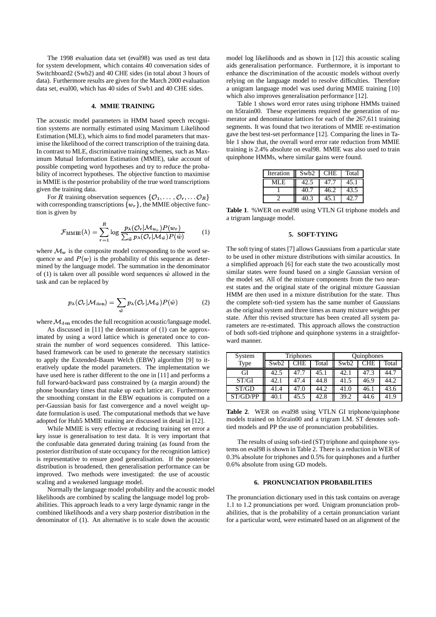The 1998 evaluation data set (eval98) was used as test data for system development, which contains 40 conversation sides of Switchboard2 (Swb2) and 40 CHE sides (in total about 3 hours of data). Furthermore results are given for the March 2000 evaluation data set, eval00, which has 40 sides of Swb1 and 40 CHE sides.

#### **4. MMIE TRAINING**

The acoustic model parameters in HMM based speech recognition systems are normally estimated using Maximum Likelihood Estimation (MLE), which aims to find model parameters that maximise the likelihood of the correct transcription of the training data. In contrast to MLE, discriminative training schemes, such as Maximum Mutual Information Estimation (MMIE), take account of possible competing word hypotheses and try to reduce the probability of incorrect hypotheses. The objective function to maximise in MMIE is the posterior probability of the true word transcriptions given the training data.

For R training observation sequences  $\{\mathcal{O}_1, \ldots, \mathcal{O}_r, \ldots \mathcal{O}_R\}$ with corresponding transcriptions  $\{w_r\}$ , the MMIE objective function is given by

$$
\mathcal{F}_{\text{MMIE}}(\lambda) = \sum_{r=1}^{R} \log \frac{p_{\lambda}(\mathcal{O}_{r} | \mathcal{M}_{w_{r}}) P(w_{r})}{\sum_{\hat{w}} p_{\lambda}(\mathcal{O}_{r} | \mathcal{M}_{\hat{w}}) P(\hat{w})}
$$
(1)

where  $\mathcal{M}_w$  is the composite model corresponding to the word sequence w and  $P(w)$  is the probability of this sequence as determined by the language model. The summation in the denominator of (1) is taken over all possible word sequences  $\hat{w}$  allowed in the task and can be replaced by

$$
p_{\lambda}(\mathcal{O}_{r}|\mathcal{M}_{\text{den}}) = \sum_{\hat{w}} p_{\lambda}(\mathcal{O}_{r}|\mathcal{M}_{\hat{w}}) P(\hat{w})
$$
 (2)

where  $\mathcal{M}_{den}$  encodes the full recognition acoustic/language model.

As discussed in [11] the denominator of (1) can be approximated by using a word lattice which is generated once to constrain the number of word sequences considered. This latticebased framework can be used to generate the necessary statistics to apply the Extended-Baum Welch (EBW) algorithm [9] to iteratively update the model parameters. The implementation we have used here is rather different to the one in [11] and performs a full forward-backward pass constrained by (a margin around) the phone boundary times that make up each lattice arc. Furthermore the smoothing constant in the EBW equations is computed on a per-Gaussian basis for fast convergence and a novel weight update formulation is used. The computational methods that we have adopted for Hub5 MMIE training are discussed in detail in [12].

While MMIE is very effective at reducing training set error a key issue is generalisation to test data. It is very important that the confusable data generated during training (as found from the posterior distribution of state occupancy for the recognition lattice) is representative to ensure good generalisation. If the posterior distribution is broadened, then generalisation performance can be improved. Two methods were investigated: the use of acoustic scaling and a weakened language model.

Normally the language model probability and the acoustic model likelihoods are combined by scaling the language model log probabilities. This approach leads to a very large dynamic range in the combined likelihoods and a very sharp posterior distribution in the denominator of (1). An alternative is to scale down the acoustic

model log likelihoods and as shown in [12] this acoustic scaling aids generalisation performance. Furthermore, it is important to enhance the discrimination of the acoustic models without overly relying on the language model to resolve difficulties. Therefore a unigram language model was used during MMIE training [10] which also improves generalisation performance [12].

Table 1 shows word error rates using triphone HMMs trained on h5train00. These experiments required the generation of numerator and denominator lattices for each of the 267,611 training segments. It was found that two iterations of MMIE re-estimation gave the best test-set performance [12]. Comparing the lines in Table 1 show that, the overall word error rate reduction from MMIE training is 2.4% absolute on eval98. MMIE was also used to train quinphone HMMs, where similar gains were found.

| Iteration | Swb <sub>2</sub> | <b>CHE</b> | Total |
|-----------|------------------|------------|-------|
| MI F      | 42.5             | 47 7       | 45.1  |
|           | 40.7             | 46.2       | 43.5  |
|           |                  | 45.1       |       |

**Table 1**. %WER on eval98 using VTLN GI triphone models and a trigram language model.

#### **5. SOFT-TYING**

The soft tying of states [7] allows Gaussians from a particular state to be used in other mixture distributions with similar acoustics. In a simplified approach [6] for each state the two acoustically most similar states were found based on a single Gaussian version of the model set. All of the mixture components from the two nearest states and the original state of the original mixture Gaussian HMM are then used in a mixture distribution for the state. Thus the complete soft-tied system has the same number of Gaussians as the original system and three times as many mixture weights per state. After this revised structure has been created all system parameters are re-estimated. This approach allows the construction of both soft-tied triphone and quinphone systems in a straightforward manner.

| System   | <b>Triphones</b> |            |       | Quinphones       |      |       |
|----------|------------------|------------|-------|------------------|------|-------|
| Type     | Swb <sub>2</sub> | <b>CHE</b> | Total | Swb <sub>2</sub> | CHE  | Total |
| GI       | 42.5             | 47.7       | 45.1  | 42.1             | 47.3 | 44.7  |
| ST/GI    | 42.1             | 47.4       | 44.8  | 41.5             | 46.9 | 44.2  |
| ST/GD    | 41.4             | 47.0       | 44.2  | 41.0             | 46.1 | 43.6  |
| ST/GD/PP | 40.1             | 45.5       | 42.8  | 39.2             | 44.6 | 41.9  |

**Table 2**. WER on eval98 using VTLN GI triphone/quinphone models trained on h5train00 and a trigram LM. ST denotes softtied models and PP the use of pronunciation probabilities.

The results of using soft-tied (ST) triphone and quinphone systems on eval98 is shown in Table 2. There is a reduction in WER of 0.3% absolute for triphones and 0.5% for quinphones and a further 0.6% absolute from using GD models.

#### **6. PRONUNCIATION PROBABILITIES**

The pronunciation dictionary used in this task contains on average 1.1 to 1.2 pronunciations per word. Unigram pronunciation probabilities, that is the probability of a certain pronunciation variant for a particular word, were estimated based on an alignment of the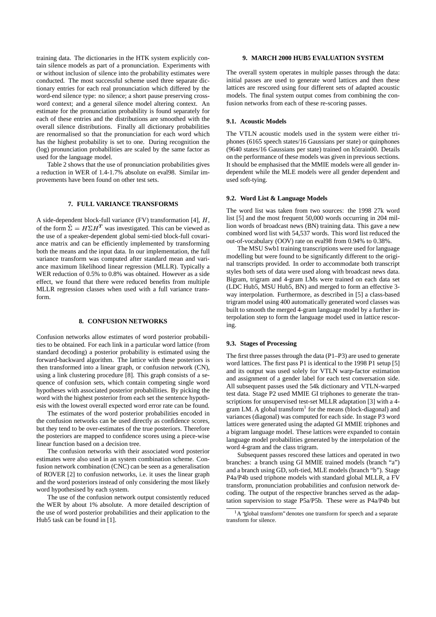training data. The dictionaries in the HTK system explicitly contain silence models as part of a pronunciation. Experiments with or without inclusion of silence into the probability estimates were conducted. The most successful scheme used three separate dictionary entries for each real pronunciation which differed by the word-end silence type: no silence; a short pause preserving crossword context; and a general silence model altering context. An estimate for the pronunciation probability is found separately for each of these entries and the distributions are smoothed with the overall silence distributions. Finally all dictionary probabilities are renormalised so that the pronunciation for each word which has the highest probability is set to one. During recognition the (log) pronunciation probabilities are scaled by the same factor as used for the language model.

Table 2 shows that the use of pronunciation probabilities gives a reduction in WER of 1.4-1.7% absolute on eval98. Similar improvements have been found on other test sets.

# **7. FULL VARIANCE TRANSFORMS**

A side-dependent block-full variance (FV) transformation [4],  $H$ , of the form  $\hat{\Sigma} = H \Sigma H^T$  was investigated. This can be viewed as the use of a speaker-dependent global semi-tied block-full covariance matrix and can be efficiently implemented by transforming both the means and the input data. In our implementation, the full variance transform was computed after standard mean and variance maximum likelihood linear regression (MLLR). Typically a WER reduction of 0.5% to 0.8% was obtained. However as a side effect, we found that there were reduced benefits from multiple MLLR regression classes when used with a full variance transform.

## **8. CONFUSION NETWORKS**

Confusion networks allow estimates of word posterior probabilities to be obtained. For each link in a particular word lattice (from standard decoding) a posterior probability is estimated using the forward-backward algorithm. The lattice with these posteriors is then transformed into a linear graph, or confusion network (CN), using a link clustering procedure [8]. This graph consists of a sequence of confusion sets, which contain competing single word hypotheses with associated posterior probabilities. By picking the word with the highest posterior from each set the sentence hypothesis with the lowest overall expected word error rate can be found.

The estimates of the word posterior probabilities encoded in the confusion networks can be used directly as confidence scores, but they tend to be over-estimates of the true posteriors. Therefore the posteriors are mapped to confidence scores using a piece-wise linear function based on a decision tree.

The confusion networks with their associated word posterior estimates were also used in an system combination scheme. Confusion network combination (CNC) can be seen as a generalisation of ROVER [2] to confusion networks, i.e. it uses the linear graph and the word posteriors instead of only considering the most likely word hypothesised by each system.

The use of the confusion network output consistently reduced the WER by about 1% absolute. A more detailed description of the use of word posterior probabilities and their application to the Hub5 task can be found in [1].

## **9. MARCH 2000 HUB5 EVALUATION SYSTEM**

The overall system operates in multiple passes through the data: initial passes are used to generate word lattices and then these lattices are rescored using four different sets of adapted acoustic models. The final system output comes from combining the confusion networks from each of these re-scoring passes.

# **9.1. Acoustic Models**

The VTLN acoustic models used in the system were either triphones (6165 speech states/16 Gaussians per state) or quinphones (9640 states/16 Gaussians per state) trained on h5train00. Details on the performance of these models was given in previous sections. It should be emphasised that the MMIE models were all gender independent while the MLE models were all gender dependent and used soft-tying.

#### **9.2. Word List & Language Models**

The word list was taken from two sources: the 1998 27k word list [5] and the most frequent 50,000 words occurring in 204 million words of broadcast news (BN) training data. This gave a new combined word list with 54,537 words. This word list reduced the out-of-vocabulary (OOV) rate on eval98 from 0.94% to 0.38%.

The MSU Swb1 training transcriptions were used for language modelling but were found to be significantly different to the original transcripts provided. In order to accommodate both transcript styles both sets of data were used along with broadcast news data. Bigram, trigram and 4-gram LMs were trained on each data set (LDC Hub5, MSU Hub5, BN) and merged to form an effective 3 way interpolation. Furthermore, as described in [5] a class-based trigram model using 400 automatically generated word classes was built to smooth the merged 4-gram language model by a further interpolation step to form the language model used in lattice rescoring.

## **9.3. Stages of Processing**

The first three passes through the data (P1–P3) are used to generate word lattices. The first pass P1 is identical to the 1998 P1 setup [5] and its output was used solely for VTLN warp-factor estimation and assignment of a gender label for each test conversation side. All subsequent passes used the 54k dictionary and VTLN-warped test data. Stage P2 used MMIE GI triphones to generate the transcriptions for unsupervised test-set MLLR adaptation [3] with a 4 gram LM. A global transform<sup>1</sup> for the means (block-diagonal) and variances (diagonal) was computed for each side. In stage P3 word lattices were generated using the adapted GI MMIE triphones and a bigram language model. These lattices were expanded to contain language model probabilities generated by the interpolation of the word 4-gram and the class trigram.

Subsequent passes rescored these lattices and operated in two branches: a branch using GI MMIE trained models (branch "a") and a branch using GD, soft-tied, MLE models (branch "b"). Stage P4a/P4b used triphone models with standard global MLLR, a FV transform, pronunciation probabilities and confusion network decoding. The output of the respective branches served as the adaptation supervision to stage P5a/P5b. These were as P4a/P4b but

A 'global transform' denotes one transform for speech and a separate transform for silence.